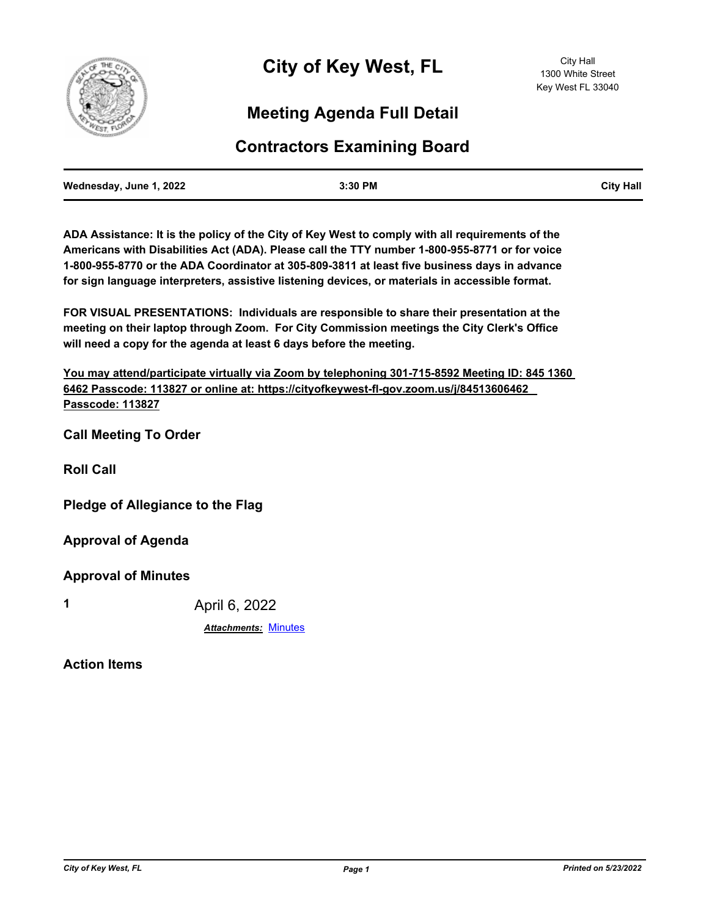

# **Meeting Agenda Full Detail**

# **Contractors Examining Board**

| Wednesday, June 1, 2022 | 3:30 PM | <b>City Hall</b> |
|-------------------------|---------|------------------|
|                         |         |                  |

**ADA Assistance: It is the policy of the City of Key West to comply with all requirements of the Americans with Disabilities Act (ADA). Please call the TTY number 1-800-955-8771 or for voice 1-800-955-8770 or the ADA Coordinator at 305-809-3811 at least five business days in advance for sign language interpreters, assistive listening devices, or materials in accessible format.**

**FOR VISUAL PRESENTATIONS: Individuals are responsible to share their presentation at the meeting on their laptop through Zoom. For City Commission meetings the City Clerk's Office will need a copy for the agenda at least 6 days before the meeting.**

**You may attend/participate virtually via Zoom by telephoning 301-715-8592 Meeting ID: 845 1360 6462 Passcode: 113827 or online at: https://cityofkeywest-fl-gov.zoom.us/j/84513606462 Passcode: 113827**

**Call Meeting To Order**

**Roll Call**

**Pledge of Allegiance to the Flag**

**Approval of Agenda**

**Approval of Minutes**

**1** April 6, 2022

*Attachments:* [Minutes](http://KeyWest.legistar.com/gateway.aspx?M=F&ID=53c786c4-8650-4b98-a145-8745a58bbfe4.pdf)

**Action Items**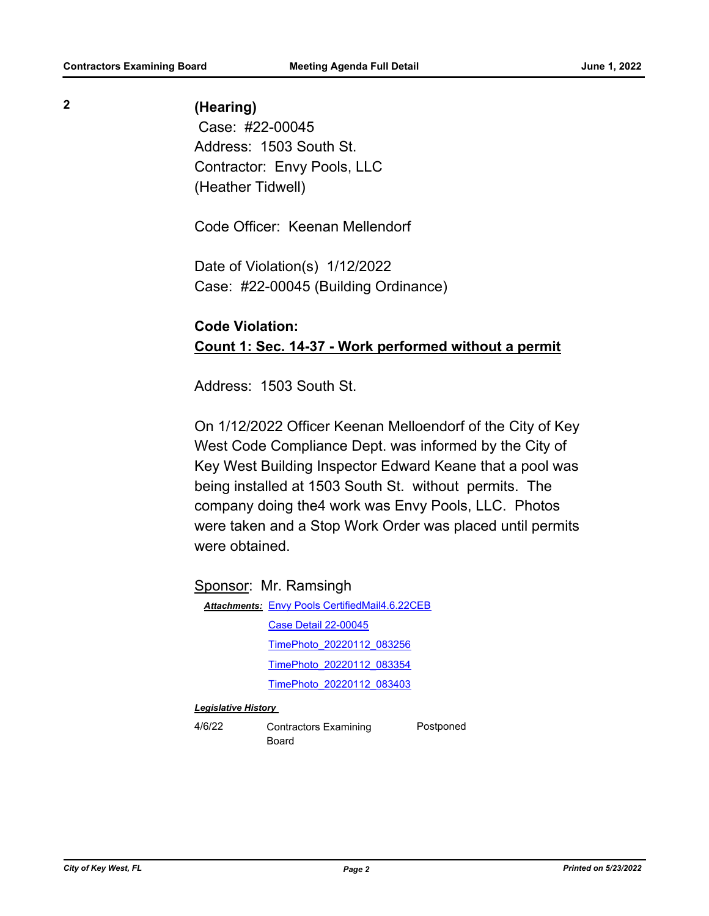### **2 (Hearing)**

 Case: #22-00045 Address: 1503 South St. Contractor: Envy Pools, LLC (Heather Tidwell)

Code Officer: Keenan Mellendorf

Date of Violation(s) 1/12/2022 Case: #22-00045 (Building Ordinance)

## **Code Violation: Count 1: Sec. 14-37 - Work performed without a permit**

Address: 1503 South St.

On 1/12/2022 Officer Keenan Melloendorf of the City of Key West Code Compliance Dept. was informed by the City of Key West Building Inspector Edward Keane that a pool was being installed at 1503 South St. without permits. The company doing the4 work was Envy Pools, LLC. Photos were taken and a Stop Work Order was placed until permits were obtained.

Sponsor: Mr. Ramsingh

Attachments: [Envy Pools CertifiedMail4.6.22CEB](http://KeyWest.legistar.com/gateway.aspx?M=F&ID=9046852d-8d0b-442f-9624-e6012bbcc952.pdf) [Case Detail 22-00045](http://KeyWest.legistar.com/gateway.aspx?M=F&ID=469d8736-4dac-40e3-bc35-d31c62bd9f6a.pdf) [TimePhoto\\_20220112\\_083256](http://KeyWest.legistar.com/gateway.aspx?M=F&ID=ac59a8c7-dfad-49fa-a7bf-558b0c79d3e4.jpg) [TimePhoto\\_20220112\\_083354](http://KeyWest.legistar.com/gateway.aspx?M=F&ID=8b45f0aa-b51f-4975-b260-06cbb2f306b0.jpg) [TimePhoto\\_20220112\\_083403](http://KeyWest.legistar.com/gateway.aspx?M=F&ID=108d1152-9bce-4f8f-9138-6c5ff0b84453.jpg)

#### *Legislative History*

4/6/22 Contractors Examining Board

Postponed